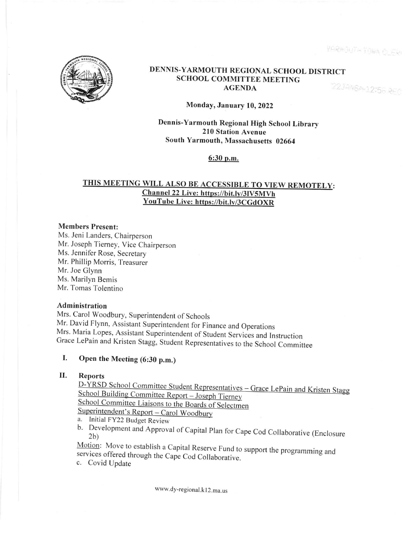YARMOUTH TOWA CLERK



### DENNIS-YARMOUTH REGIONAL SCHOOL DISTRICT SCHOOL COMMITTEE MEETING 22JANBPR12156 REC AGENDA

## Monday, January 10,2022

Dennis-Yarmouth Regional High School Library 210 Station Avenue South Yarmouth, Massachusetts 02664

6:30 p.m.

# THIS MEETING WILL ALSO BE ACCESSIBLE TO VIEW REMOTELY: Channel 22 Live: https://bit.ly/3lV5MVh YouTube Live: https://bit.ly/3CGdOXR

## Members Present:

Ms. Jeni Landers, Chairperson Mr. Joseph Tiemey, Vice Chairperson Ms. Jennifer Rose, Secretary Mr. Phillip Morris, Treasurer Mr. Joe Glynn Ms. Marilyn Bemis Mr. Tomas Tolentino

# Administration

Mrs. Carol Woodbury, Superintendent of Schools Mr. David Flynn, Assistant Superintendent for Finance and Operations Grace LePain and Kristen Stagg, Student Representatives to the School Committee

# I. Open the Meeting (6:30 p.m.)

II. Reports<br>D-YRSD School Committee Student Representatives – Grace LePain and Kristen Stagg <u>School Building Committee Report – Joseph Tierney</u> School Committee Liaisons to the Boards of Selectmen

- 
- a. Initial FY22 Budget Review<br>a. Initial FY22 Budget Review<br>b. Development and Approval of Capital Plan for Cape Cod Collaborative (Enclosure 2b)

Motion: Move to establish a Capital Reserve Fund to support the programming and services offered through the Cape Cod Collaborative.

c. Covid Update